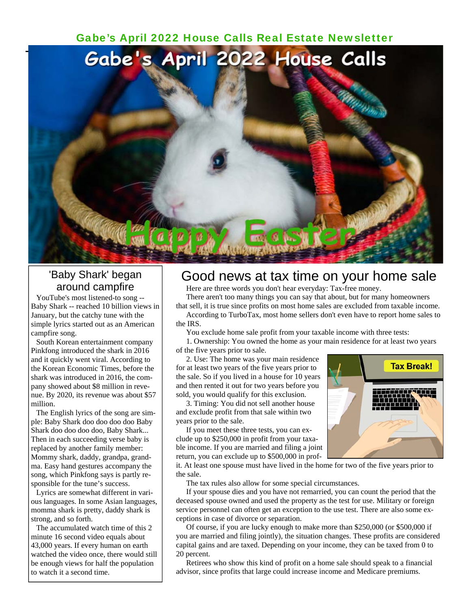### [Gabe's April 2022 House Calls Real Estate Newsletter](https://www.gabesanders.com/housecalls-newsletter.php)



# 'Baby Shark' began around campfire

 YouTube's most listened-to song -- Baby Shark -- reached 10 billion views in January, but the catchy tune with the simple lyrics started out as an American campfire song.

 South Korean entertainment company Pinkfong introduced the shark in 2016 and it quickly went viral. According to the Korean Economic Times, before the shark was introduced in 2016, the company showed about \$8 million in revenue. By 2020, its revenue was about \$57 million.

 The English lyrics of the song are simple: Baby Shark doo doo doo doo Baby Shark doo doo doo doo, Baby Shark... Then in each succeeding verse baby is replaced by another family member: Mommy shark, daddy, grandpa, grandma. Easy hand gestures accompany the song, which Pinkfong says is partly responsible for the tune's success.

 Lyrics are somewhat different in various languages. In some Asian languages, momma shark is pretty, daddy shark is strong, and so forth.

 The accumulated watch time of this 2 minute 16 second video equals about 43,000 years. If every human on earth watched the video once, there would still be enough views for half the population to watch it a second time.

## Good news at tax time on your home sale

Here are three words you don't hear everyday: Tax-free money.

 There aren't too many things you can say that about, but for many homeowners that sell, it is true since profits on most home sales are excluded from taxable income.

 According to TurboTax, most home sellers don't even have to report home sales to the IRS.

You exclude home sale profit from your taxable income with three tests:

 1. Ownership: You owned the home as your main residence for at least two years of the five years prior to sale.

 2. Use: The home was your main residence for at least two years of the five years prior to the sale. So if you lived in a house for 10 years and then rented it out for two years before you sold, you would qualify for this exclusion.

 3. Timing: You did not sell another house and exclude profit from that sale within two years prior to the sale.

 If you meet these three tests, you can exclude up to \$250,000 in profit from your taxable income. If you are married and filing a joint return, you can exclude up to \$500,000 in prof-



it. At least one spouse must have lived in the home for two of the five years prior to the sale.

The tax rules also allow for some special circumstances.

 If your spouse dies and you have not remarried, you can count the period that the deceased spouse owned and used the property as the test for use. Military or foreign service personnel can often get an exception to the use test. There are also some exceptions in case of divorce or separation.

 Of course, if you are lucky enough to make more than \$250,000 (or \$500,000 if you are married and filing jointly), the situation changes. These profits are considered capital gains and are taxed. Depending on your income, they can be taxed from 0 to 20 percent.

 Retirees who show this kind of profit on a home sale should speak to a financial advisor, since profits that large could increase income and Medicare premiums.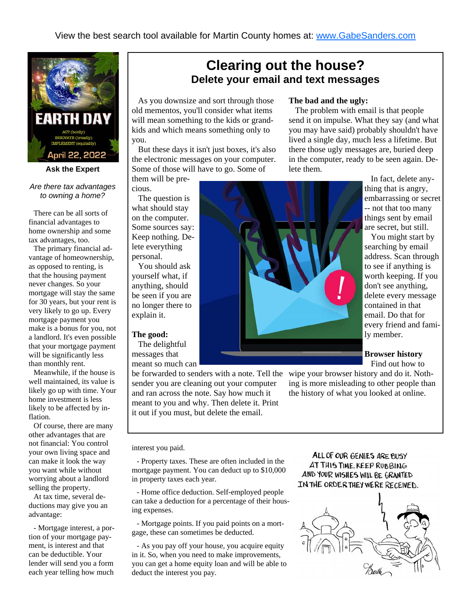

#### **Ask the Expert**

#### *Are there tax advantages to owning a home?*

 There can be all sorts of financial advantages to home ownership and some tax advantages, too.

 The primary financial advantage of homeownership, as opposed to renting, is that the housing payment never changes. So your mortgage will stay the same for 30 years, but your rent is very likely to go up. Every mortgage payment you make is a bonus for you, not a landlord. It's even possible that your mortgage payment will be significantly less than monthly rent.

 Meanwhile, if the house is well maintained, its value is likely go up with time. Your home investment is less likely to be affected by inflation.

 Of course, there are many other advantages that are not financial: You control your own living space and can make it look the way you want while without worrying about a landlord selling the property.

 At tax time, several deductions may give you an advantage:

 - Mortgage interest, a portion of your mortgage payment, is interest and that can be deductible. Your lender will send you a form each year telling how much

# **Clearing out the house? Delete your email and text messages**

 As you downsize and sort through those old mementos, you'll consider what items will mean something to the kids or grandkids and which means something only to you.

 But these days it isn't just boxes, it's also the electronic messages on your computer. Some of those will have to go. Some of

them will be precious.

 The question is what should stay on the computer. Some sources say: Keep nothing. Delete everything personal.

 You should ask yourself what, if anything, should be seen if you are no longer there to explain it.

#### **The good:**

 The delightful messages that meant so much can

be forwarded to senders with a note. Tell the sender you are cleaning out your computer and ran across the note. Say how much it meant to you and why. Then delete it. Print it out if you must, but delete the email.

#### **The bad and the ugly:**

 The problem with email is that people send it on impulse. What they say (and what you may have said) probably shouldn't have lived a single day, much less a lifetime. But there those ugly messages are, buried deep in the computer, ready to be seen again. Delete them.



 In fact, delete anything that is angry, embarrassing or secret -- not that too many things sent by email are secret, but still.

 You might start by searching by email address. Scan through to see if anything is worth keeping. If you don't see anything, delete every message contained in that email. Do that for every friend and family member.

#### **Browser history**

Find out how to

wipe your browser history and do it. Nothing is more misleading to other people than the history of what you looked at online.

interest you paid.

 - Property taxes. These are often included in the mortgage payment. You can deduct up to \$10,000 in property taxes each year.

 - Home office deduction. Self-employed people can take a deduction for a percentage of their housing expenses.

 - Mortgage points. If you paid points on a mortgage, these can sometimes be deducted.

 - As you pay off your house, you acquire equity in it. So, when you need to make improvements, you can get a home equity loan and will be able to deduct the interest you pay.

ALL OF OUR GENIES ARE BUSY AT THIS TIME. KEEP RUBBING AND YOUR WISHES WILL BE GRANTED IN THE ORDER THEY WERE RECEIVED.

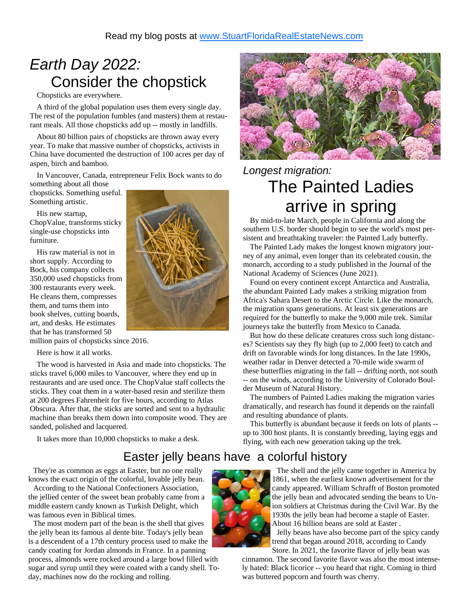# *Earth Day 2022:*  Consider the chopstick

Chopsticks are everywhere.

 A third of the global population uses them every single day. The rest of the population fumbles (and masters) them at restaurant meals. All those chopsticks add up -- mostly in landfills.

 About 80 billion pairs of chopsticks are thrown away every year. To make that massive number of chopsticks, activists in China have documented the destruction of 100 acres per day of aspen, birch and bamboo.

In Vancouver, Canada, entrepreneur Felix Bock wants to do

something about all those chopsticks. Something useful. Something artistic.

 His new startup, ChopValue, transforms sticky single-use chopsticks into furniture.

 His raw material is not in short supply. According to Bock, his company collects 350,000 used chopsticks from 300 restaurants every week. He cleans them, compresses them, and turns them into book shelves, cutting boards, art, and desks. He estimates that he has transformed 50

million pairs of chopsticks since 2016.

Here is how it all works.

 The wood is harvested in Asia and made into chopsticks. The sticks travel 6,000 miles to Vancouver, where they end up in restaurants and are used once. The ChopValue staff collects the sticks. They coat them in a water-based resin and sterilize them at 200 degrees Fahrenheit for five hours, according to Atlas Obscura. After that, the sticks are sorted and sent to a hydraulic machine than breaks them down into composite wood. They are sanded, polished and lacquered.

It takes more than 10,000 chopsticks to make a desk.





# *Longest migration:*  The Painted Ladies arrive in spring

 By mid-to-late March, people in California and along the southern U.S. border should begin to see the world's most persistent and breathtaking traveler: the Painted Lady butterfly.

 The Painted Lady makes the longest known migratory journey of any animal, even longer than its celebrated cousin, the monarch, according to a study published in the Journal of the National Academy of Sciences (June 2021).

 Found on every continent except Antarctica and Australia, the abundant Painted Lady makes a striking migration from Africa's Sahara Desert to the Arctic Circle. Like the monarch, the migration spans generations. At least six generations are required for the butterfly to make the 9,000 mile trek. Similar journeys take the butterfly from Mexico to Canada.

 But how do these delicate creatures cross such long distances? Scientists say they fly high (up to 2,000 feet) to catch and drift on favorable winds for long distances. In the late 1990s, weather radar in Denver detected a 70-mile wide swarm of these butterflies migrating in the fall -- drifting north, not south -- on the winds, according to the University of Colorado Boulder Museum of Natural History.

 The numbers of Painted Ladies making the migration varies dramatically, and research has found it depends on the rainfall and resulting abundance of plants.

 This butterfly is abundant because it feeds on lots of plants - up to 300 host plants. It is constantly breeding, laying eggs and flying, with each new generation taking up the trek.

# Easter jelly beans have a colorful history

 They're as common as eggs at Easter, but no one really knows the exact origin of the colorful, lovable jelly bean.

 According to the National Confectioners Association, the jellied center of the sweet bean probably came from a middle eastern candy known as Turkish Delight, which was famous even in Biblical times.

 The most modern part of the bean is the shell that gives the jelly bean its famous al dente bite. Today's jelly bean is a descendent of a 17th century process used to make the candy coating for Jordan almonds in France. In a panning

process, almonds were rocked around a large bowl filled with sugar and syrup until they were coated with a candy shell. Today, machines now do the rocking and rolling.



 The shell and the jelly came together in America by 1861, when the earliest known advertisement for the candy appeared. William Schrafft of Boston promoted the jelly bean and advocated sending the beans to Union soldiers at Christmas during the Civil War. By the 1930s the jelly bean had become a staple of Easter. About 16 billion beans are sold at Easter . Jelly beans have also become part of the spicy candy trend that began around 2018, according to Candy Store. In 2021, the favorite flavor of jelly bean was

cinnamon. The second favorite flavor was also the most intensely hated: Black licorice -- you heard that right. Coming in third was buttered popcorn and fourth was cherry.